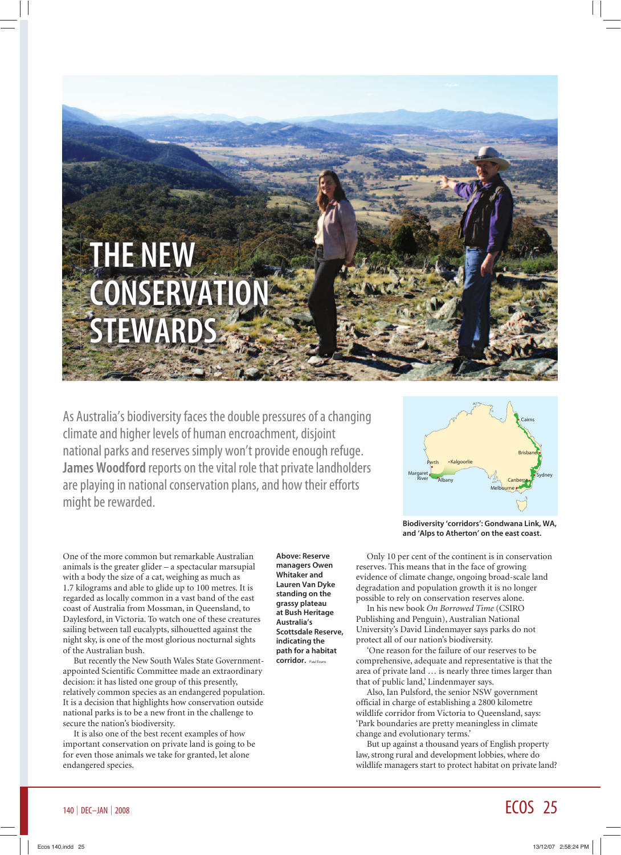# THE NEW **CONSERVATIO** STEWARDS

As Australia's biodiversity faces the double pressures of a changing climate and higher levels of human encroachment, disjoint national parks and reserves simply won't provide enough refuge. James Woodford reports on the vital role that private landholders are playing in national conservation plans, and how their efforts might be rewarded.



Biodiversity 'corridors': Gondwana Link, WA, and 'Alps to Atherton' on the east coast.

One of the more common but remarkable Australian animals is the greater glider – a spectacular marsupial with a body the size of a cat, weighing as much as 1.7 kilograms and able to glide up to 100 metres. It is regarded as locally common in a vast band of the east coast of Australia from Mossman, in Queensland, to Daylesford, in Victoria. To watch one of these creatures sailing between tall eucalypts, silhouetted against the night sky, is one of the most glorious nocturnal sights of the Australian bush.

But recently the New South Wales State Governmentappointed Scientific Committee made an extraordinary decision: it has listed one group of this presently, relatively common species as an endangered population. It is a decision that highlights how conservation outside national parks is to be a new front in the challenge to secure the nation's biodiversity.

It is also one of the best recent examples of how important conservation on private land is going to be for even those animals we take for granted, let alone endangered species.

Above: Reserve managers Owen Whitaker and Lauren Van Dyke standing on the grassy plateau at Bush Heritage Australia's Scottsdale Reserve, indicating the path for a habitat corridor. Paul Evans

Only 10 per cent of the continent is in conservation reserves. This means that in the face of growing evidence of climate change, ongoing broad-scale land degradation and population growth it is no longer possible to rely on conservation reserves alone.

In his new book *On Borrowed Time* (CSIRO Publishing and Penguin), Australian National University's David Lindenmayer says parks do not protect all of our nation's biodiversity.

'One reason for the failure of our reserves to be comprehensive, adequate and representative is that the area of private land … is nearly three times larger than that of public land,' Lindenmayer says.

Also, Ian Pulsford, the senior NSW government official in charge of establishing a 2800 kilometre wildlife corridor from Victoria to Queensland, says: 'Park boundaries are pretty meaningless in climate change and evolutionary terms.'

But up against a thousand years of English property law, strong rural and development lobbies, where do wildlife managers start to protect habitat on private land?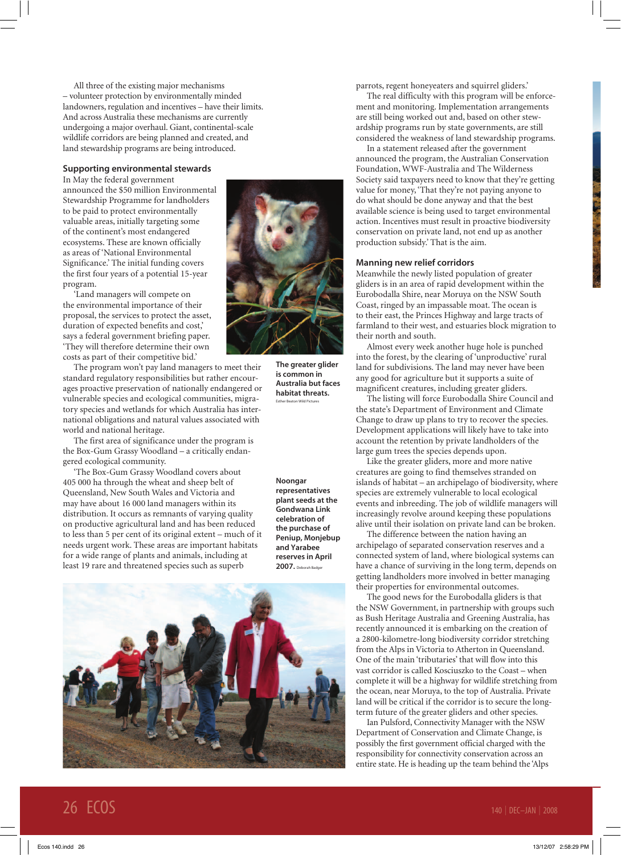All three of the existing major mechanisms – volunteer protection by environmentally minded landowners, regulation and incentives – have their limits. And across Australia these mechanisms are currently undergoing a major overhaul. Giant, continental-scale wildlife corridors are being planned and created, and land stewardship programs are being introduced.

## Supporting environmental stewards

In May the federal government announced the \$50 million Environmental Stewardship Programme for landholders to be paid to protect environmentally valuable areas, initially targeting some of the continent's most endangered ecosystems. These are known officially as areas of 'National Environmental Significance.' The initial funding covers the first four years of a potential 15-year program.

'Land managers will compete on the environmental importance of their proposal, the services to protect the asset, duration of expected benefits and cost,' says a federal government briefing paper. 'They will therefore determine their own costs as part of their competitive bid.'

The program won't pay land managers to meet their standard regulatory responsibilities but rather encourages proactive preservation of nationally endangered or vulnerable species and ecological communities, migratory species and wetlands for which Australia has international obligations and natural values associated with world and national heritage.

The first area of significance under the program is the Box-Gum Grassy Woodland – a critically endangered ecological community.

'The Box-Gum Grassy Woodland covers about 405 000 ha through the wheat and sheep belt of Queensland, New South Wales and Victoria and may have about 16 000 land managers within its distribution. It occurs as remnants of varying quality on productive agricultural land and has been reduced to less than 5 per cent of its original extent – much of it needs urgent work. These areas are important habitats for a wide range of plants and animals, including at least 19 rare and threatened species such as superb



The greater glider is common in Australia but faces habitat threats. Esther Beaton Wild Pictures

Noongar representatives plant seeds at the Gondwana Link celebration of the purchase of Peniup, Monjebup and Yarabee reserves in April 2007. Deborah Badger



parrots, regent honeyeaters and squirrel gliders.'

The real difficulty with this program will be enforcement and monitoring. Implementation arrangements are still being worked out and, based on other stewardship programs run by state governments, are still considered the weakness of land stewardship programs.

In a statement released after the government announced the program, the Australian Conservation Foundation, WWF-Australia and The Wilderness Society said taxpayers need to know that they're getting value for money, 'That they're not paying anyone to do what should be done anyway and that the best available science is being used to target environmental action. Incentives must result in proactive biodiversity conservation on private land, not end up as another production subsidy.' That is the aim.

### Manning new relief corridors

Meanwhile the newly listed population of greater gliders is in an area of rapid development within the Eurobodalla Shire, near Moruya on the NSW South Coast, ringed by an impassable moat. The ocean is to their east, the Princes Highway and large tracts of farmland to their west, and estuaries block migration to their north and south.

Almost every week another huge hole is punched into the forest, by the clearing of 'unproductive' rural land for subdivisions. The land may never have been any good for agriculture but it supports a suite of magnificent creatures, including greater gliders.

The listing will force Eurobodalla Shire Council and the state's Department of Environment and Climate Change to draw up plans to try to recover the species. Development applications will likely have to take into account the retention by private landholders of the large gum trees the species depends upon.

Like the greater gliders, more and more native creatures are going to find themselves stranded on islands of habitat – an archipelago of biodiversity, where species are extremely vulnerable to local ecological events and inbreeding. The job of wildlife managers will increasingly revolve around keeping these populations alive until their isolation on private land can be broken.

The difference between the nation having an archipelago of separated conservation reserves and a connected system of land, where biological systems can have a chance of surviving in the long term, depends on getting landholders more involved in better managing their properties for environmental outcomes.

The good news for the Eurobodalla gliders is that the NSW Government, in partnership with groups such as Bush Heritage Australia and Greening Australia, has recently announced it is embarking on the creation of a 2800-kilometre-long biodiversity corridor stretching from the Alps in Victoria to Atherton in Queensland. One of the main 'tributaries' that will flow into this vast corridor is called Kosciuszko to the Coast – when complete it will be a highway for wildlife stretching from the ocean, near Moruya, to the top of Australia. Private land will be critical if the corridor is to secure the longterm future of the greater gliders and other species.

Ian Pulsford, Connectivity Manager with the NSW Department of Conservation and Climate Change, is possibly the first government official charged with the responsibility for connectivity conservation across an entire state. He is heading up the team behind the 'Alps